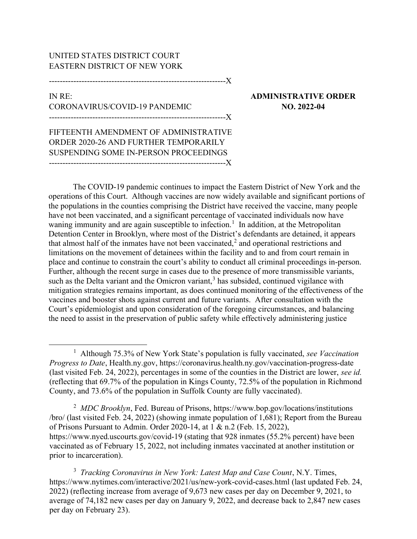## UNITED STATES DISTRICT COURT EASTERN DISTRICT OF NEW YORK

-----------------------------------------------------------------X

## IN RE: ADMINISTRATIVE ORDER CORONAVIRUS/COVID-19 PANDEMIC NO. 2022-04 -----------------------------------------------------------------X

FIFTEENTH AMENDMENT OF ADMINISTRATIVE ORDER 2020-26 AND FURTHER TEMPORARILY SUSPENDING SOME IN-PERSON PROCEEDINGS -----------------------------------------------------------------X

The COVID-19 pandemic continues to impact the Eastern District of New York and the operations of this Court. Although vaccines are now widely available and significant portions of the populations in the counties comprising the District have received the vaccine, many people have not been vaccinated, and a significant percentage of vaccinated individuals now have waning immunity and are again susceptible to infection.<sup>1</sup> In addition, at the Metropolitan Detention Center in Brooklyn, where most of the District's defendants are detained, it appears that almost half of the inmates have not been vaccinated,<sup>2</sup> and operational restrictions and limitations on the movement of detainees within the facility and to and from court remain in place and continue to constrain the court's ability to conduct all criminal proceedings in-person. Further, although the recent surge in cases due to the presence of more transmissible variants, such as the Delta variant and the Omicron variant, $3$  has subsided, continued vigilance with mitigation strategies remains important, as does continued monitoring of the effectiveness of the vaccines and booster shots against current and future variants. After consultation with the Court's epidemiologist and upon consideration of the foregoing circumstances, and balancing the need to assist in the preservation of public safety while effectively administering justice

<sup>2</sup> MDC Brooklyn, Fed. Bureau of Prisons, https://www.bop.gov/locations/institutions /bro/ (last visited Feb. 24, 2022) (showing inmate population of 1,681); Report from the Bureau of Prisons Pursuant to Admin. Order 2020-14, at 1 & n.2 (Feb. 15, 2022), https://www.nyed.uscourts.gov/covid-19 (stating that 928 inmates (55.2% percent) have been vaccinated as of February 15, 2022, not including inmates vaccinated at another institution or prior to incarceration).

 $3$  Tracking Coronavirus in New York: Latest Map and Case Count, N.Y. Times, https://www.nytimes.com/interactive/2021/us/new-york-covid-cases.html (last updated Feb. 24, 2022) (reflecting increase from average of 9,673 new cases per day on December 9, 2021, to average of 74,182 new cases per day on January 9, 2022, and decrease back to 2,847 new cases per day on February 23).

<sup>&</sup>lt;sup>1</sup> Although 75.3% of New York State's population is fully vaccinated, see Vaccination Progress to Date, Health.ny.gov, https://coronavirus.health.ny.gov/vaccination-progress-date (last visited Feb. 24, 2022), percentages in some of the counties in the District are lower, see id. (reflecting that 69.7% of the population in Kings County, 72.5% of the population in Richmond County, and 73.6% of the population in Suffolk County are fully vaccinated).